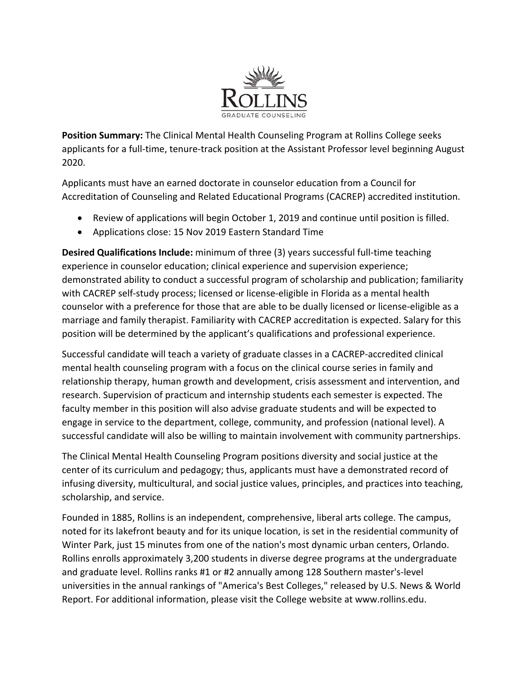

**Position Summary:** The Clinical Mental Health Counseling Program at Rollins College seeks applicants for a full-time, tenure-track position at the Assistant Professor level beginning August 2020.

Applicants must have an earned doctorate in counselor education from a Council for Accreditation of Counseling and Related Educational Programs (CACREP) accredited institution.

- Review of applications will begin October 1, 2019 and continue until position is filled.
- Applications close: 15 Nov 2019 Eastern Standard Time

**Desired Qualifications Include:** minimum of three (3) years successful full‐time teaching experience in counselor education; clinical experience and supervision experience; demonstrated ability to conduct a successful program of scholarship and publication; familiarity with CACREP self-study process; licensed or license-eligible in Florida as a mental health counselor with a preference for those that are able to be dually licensed or license-eligible as a marriage and family therapist. Familiarity with CACREP accreditation is expected. Salary for this position will be determined by the applicant's qualifications and professional experience.

Successful candidate will teach a variety of graduate classes in a CACREP‐accredited clinical mental health counseling program with a focus on the clinical course series in family and relationship therapy, human growth and development, crisis assessment and intervention, and research. Supervision of practicum and internship students each semester is expected. The faculty member in this position will also advise graduate students and will be expected to engage in service to the department, college, community, and profession (national level). A successful candidate will also be willing to maintain involvement with community partnerships.

The Clinical Mental Health Counseling Program positions diversity and social justice at the center of its curriculum and pedagogy; thus, applicants must have a demonstrated record of infusing diversity, multicultural, and social justice values, principles, and practices into teaching, scholarship, and service.

Founded in 1885, Rollins is an independent, comprehensive, liberal arts college. The campus, noted for its lakefront beauty and for its unique location, is set in the residential community of Winter Park, just 15 minutes from one of the nation's most dynamic urban centers, Orlando. Rollins enrolls approximately 3,200 students in diverse degree programs at the undergraduate and graduate level. Rollins ranks #1 or #2 annually among 128 Southern master's‐level universities in the annual rankings of "America's Best Colleges," released by U.S. News & World Report. For additional information, please visit the College website at www.rollins.edu.